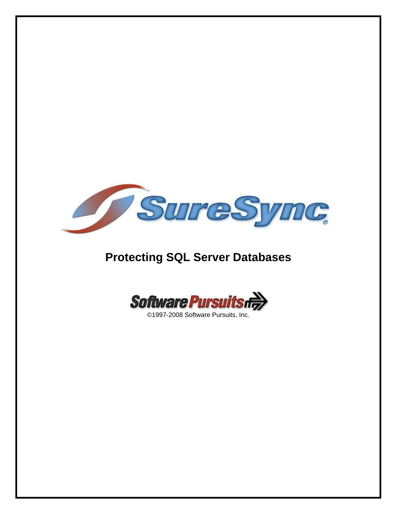

# **Protecting SQL Server Databases**

Software Pursuits rd

©1997-2008 Software Pursuits, Inc.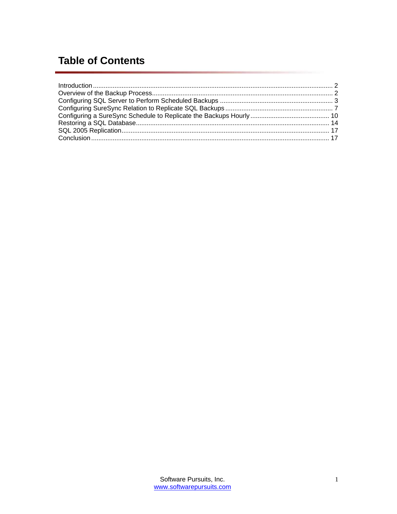# **Table of Contents**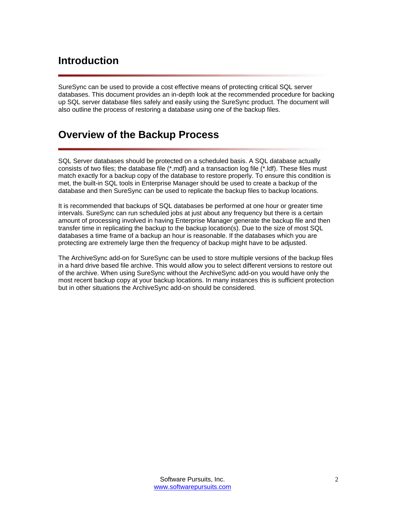## <span id="page-2-0"></span>**Introduction**

SureSync can be used to provide a cost effective means of protecting critical SQL server databases. This document provides an in-depth look at the recommended procedure for backing up SQL server database files safely and easily using the SureSync product. The document will also outline the process of restoring a database using one of the backup files.

#### **Overview of the Backup Process**

SQL Server databases should be protected on a scheduled basis. A SQL database actually consists of two files; the database file (\*.mdf) and a transaction log file (\*.ldf). These files must match exactly for a backup copy of the database to restore properly. To ensure this condition is met, the built-in SQL tools in Enterprise Manager should be used to create a backup of the database and then SureSync can be used to replicate the backup files to backup locations.

It is recommended that backups of SQL databases be performed at one hour or greater time intervals. SureSync can run scheduled jobs at just about any frequency but there is a certain amount of processing involved in having Enterprise Manager generate the backup file and then transfer time in replicating the backup to the backup location(s). Due to the size of most SQL databases a time frame of a backup an hour is reasonable. If the databases which you are protecting are extremely large then the frequency of backup might have to be adjusted.

The ArchiveSync add-on for SureSync can be used to store multiple versions of the backup files in a hard drive based file archive. This would allow you to select different versions to restore out of the archive. When using SureSync without the ArchiveSync add-on you would have only the most recent backup copy at your backup locations. In many instances this is sufficient protection but in other situations the ArchiveSync add-on should be considered.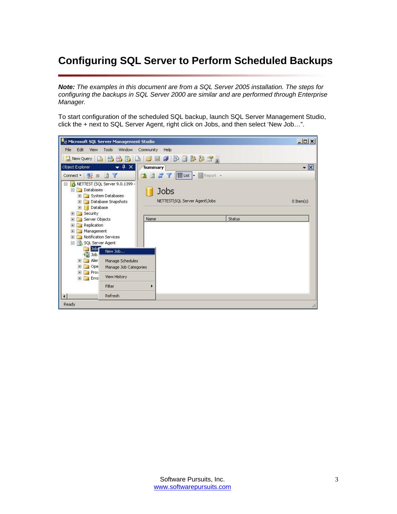# <span id="page-3-0"></span>**Configuring SQL Server to Perform Scheduled Backups**

*Note: The examples in this document are from a SQL Server 2005 installation. The steps for configuring the backups in SQL Server 2000 are similar and are performed through Enterprise Manager.* 

To start configuration of the scheduled SQL backup, launch SQL Server Management Studio, click the + next to SQL Server Agent, right click on Jobs, and then select 'New Job…".

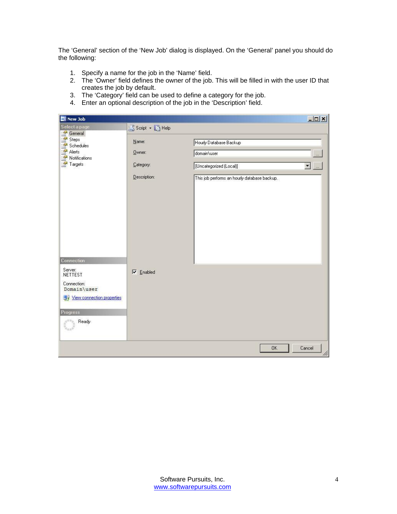The 'General' section of the 'New Job' dialog is displayed. On the 'General' panel you should do the following:

- 1. Specify a name for the job in the 'Name' field.
- 2. The 'Owner' field defines the owner of the job. This will be filled in with the user ID that creates the job by default.
- 3. The 'Category' field can be used to define a category for the job.
- 4. Enter an optional description of the job in the 'Description' field.

| <b>EE</b> New Job                    |                  |                                              | $  x$                    |
|--------------------------------------|------------------|----------------------------------------------|--------------------------|
| Select a page                        | Script • BHelp   |                                              |                          |
| General<br>Steps                     | Name:            | Hourly Database Backup                       |                          |
| Schedules<br>Alerts<br>Notifications | Owner:           | domain\user                                  | $\ldots$                 |
| Targets                              | Category:        | [Uncategorized (Local)]                      | $\blacksquare$<br>$\sim$ |
|                                      | Description:     | This job performs an hourly database backup. |                          |
| Connection                           |                  |                                              |                          |
| Server:<br>NETTEST                   | $\nabla$ Enabled |                                              |                          |
| Connection:<br>Domain\user           |                  |                                              |                          |
| View connection properties           |                  |                                              |                          |
| <b>Progress</b>                      |                  |                                              |                          |
| Ready                                |                  |                                              |                          |
|                                      |                  | OK.                                          | Cancel<br>h              |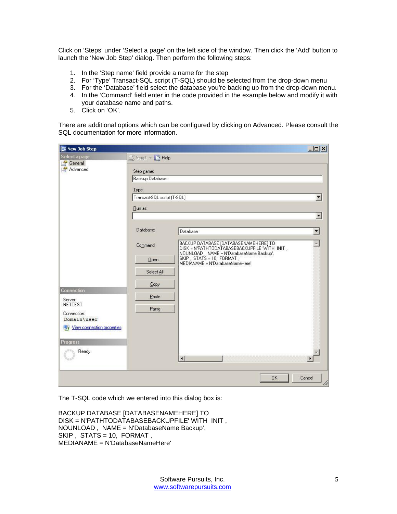Click on 'Steps' under 'Select a page' on the left side of the window. Then click the 'Add' button to launch the 'New Job Step' dialog. Then perform the following steps:

- 1. In the 'Step name' field provide a name for the step
- 2. For 'Type' Transact-SQL script (T-SQL) should be selected from the drop-down menu
- 3. For the 'Database' field select the database you're backing up from the drop-down menu.
- 4. In the 'Command' field enter in the code provided in the example below and modify it with your database name and paths.
- 5. Click on 'OK'.

There are additional options which can be configured by clicking on Advanced. Please consult the SQL documentation for more information.

| <b>B</b> New Job Step      |                                        |                                                                                                                                    | $ \Box$ $\times$            |
|----------------------------|----------------------------------------|------------------------------------------------------------------------------------------------------------------------------------|-----------------------------|
| Select a page              | S Script + B Help                      |                                                                                                                                    |                             |
| General<br>Advanced        | Step name:<br>Backup Database          |                                                                                                                                    |                             |
|                            | Type:                                  |                                                                                                                                    |                             |
|                            | Transact-SQL script (T-SQL)<br>Run as: |                                                                                                                                    | $\overline{\phantom{a}}$    |
|                            |                                        |                                                                                                                                    | $\left  \mathbf{v} \right $ |
|                            | Database:                              | Database                                                                                                                           | $\blacktriangledown$        |
|                            | Command:                               | BACKUP DATABASE [DATABASENAMEHERE] TO<br>DISK = N'PATHTODATABASEBACKUPFILE' WITH INIT.<br>NOUNLOAD, NAME = N'DatabaseName Backup', | $\Delta_{\rm e}$            |
|                            | Open<br>Select All                     | SKIP, STATS = 10, FORMAT,<br>MEDIANAME = N'DatabaseNameHere'                                                                       |                             |
| Connection                 | Copy                                   |                                                                                                                                    |                             |
| Server:<br><b>NETTEST</b>  | Paste                                  |                                                                                                                                    |                             |
| Connection:<br>Domain\user | Parse                                  |                                                                                                                                    |                             |
| View connection properties |                                        |                                                                                                                                    |                             |
| <b>Progress</b><br>Ready   |                                        | $\blacksquare$                                                                                                                     |                             |
|                            |                                        | <b>OK</b>                                                                                                                          | Cancel<br>M                 |

The T-SQL code which we entered into this dialog box is:

```
BACKUP DATABASE [DATABASENAMEHERE] TO 
DISK = N'PATHTODATABASEBACKUPFILE' WITH INIT , 
NOUNLOAD , NAME = N'DatabaseName Backup', 
SKIP , STATS = 10, FORMAT , 
MEDIANAME = N'DatabaseNameHere'
```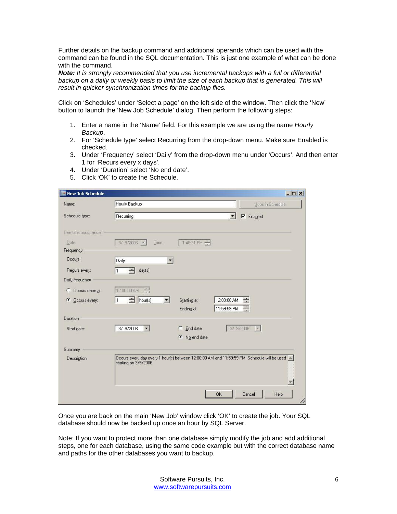Further details on the backup command and additional operands which can be used with the command can be found in the SQL documentation. This is just one example of what can be done with the command.

*Note: It is strongly recommended that you use incremental backups with a full or differential*  backup on a daily or weekly basis to limit the size of each backup that is generated. This will *result in quicker synchronization times for the backup files.* 

Click on 'Schedules' under 'Select a page' on the left side of the window. Then click the 'New' button to launch the 'New Job Schedule' dialog. Then perform the following steps:

- 1. Enter a name in the 'Name' field. For this example we are using the name *Hourly Backup*.
- 2. For 'Schedule type' select Recurring from the drop-down menu. Make sure Enabled is checked.
- 3. Under 'Frequency' select 'Daily' from the drop-down menu under 'Occurs'. And then enter 1 for 'Recurs every x days'.
- 4. Under 'Duration' select 'No end date'.
- 5. Click 'OK' to create the Schedule.

| New Job Schedule     |                                                                                                                             |                       |                          |                  | $  x$ |
|----------------------|-----------------------------------------------------------------------------------------------------------------------------|-----------------------|--------------------------|------------------|-------|
| Name:                | Hourly Backup                                                                                                               |                       |                          | Jobs in Schedule |       |
| Schedule type:       | Recurring                                                                                                                   |                       | $\overline{\phantom{a}}$ | $\nabla$ Enabled |       |
| One-time occurrence. |                                                                                                                             |                       |                          |                  |       |
| Date:                | $3/9/2006$ $\rightarrow$<br>Time:                                                                                           | 1:48:31 PM            |                          |                  |       |
| Frequency            |                                                                                                                             |                       |                          |                  |       |
| Occurs:              | Daily<br>$\overline{\phantom{a}}$                                                                                           |                       |                          |                  |       |
| Regurs every:        | $\equiv$<br>day(s)<br>I1                                                                                                    |                       |                          |                  |       |
| Daily frequency      |                                                                                                                             |                       |                          |                  |       |
| Occurs once at:<br>C | $\frac{1}{\sqrt{2}}$<br>12:00:00 AM                                                                                         |                       |                          |                  |       |
| G<br>Occurs every:   | ۦ<br>I1<br>hour(s)<br>$\left  \cdot \right $                                                                                | Starting at:          | 12:00:00 AM              | $\div$           |       |
|                      |                                                                                                                             | Ending at:            | 11:59:59 PM              | $\triangleq$     |       |
| Duration             |                                                                                                                             |                       |                          |                  |       |
| Start date:          | 3/ 9/2006<br>$\vert \cdot \vert$                                                                                            | $C$ End date:         |                          | 3/ 9/2006        |       |
|                      |                                                                                                                             | $\bullet$ No end date |                          |                  |       |
| Summary:             |                                                                                                                             |                       |                          |                  |       |
| Description:         | Occurs every day every 1 hour(s) between 12:00:00 AM and 11:59:59 PM. Schedule will be used $\sim$<br>starting on 3/9/2006. |                       |                          |                  |       |
|                      |                                                                                                                             |                       | OK                       | Cancel<br>Help   | M     |

Once you are back on the main 'New Job' window click 'OK' to create the job. Your SQL database should now be backed up once an hour by SQL Server.

Note: If you want to protect more than one database simply modify the job and add additional steps, one for each database, using the same code example but with the correct database name and paths for the other databases you want to backup.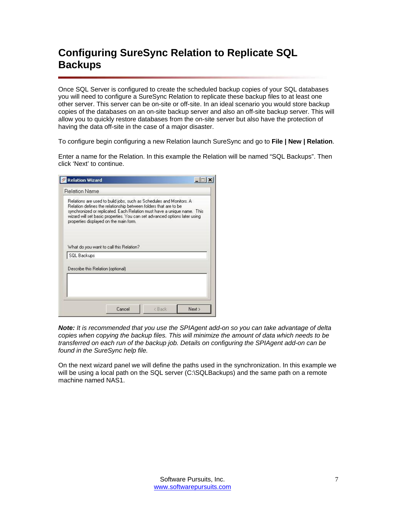## <span id="page-7-0"></span>**Configuring SureSync Relation to Replicate SQL Backups**

Once SQL Server is configured to create the scheduled backup copies of your SQL databases you will need to configure a SureSync Relation to replicate these backup files to at least one other server. This server can be on-site or off-site. In an ideal scenario you would store backup copies of the databases on an on-site backup server and also an off-site backup server. This will allow you to quickly restore databases from the on-site server but also have the protection of having the data off-site in the case of a major disaster.

To configure begin configuring a new Relation launch SureSync and go to **File | New | Relation**.

Enter a name for the Relation. In this example the Relation will be named "SQL Backups". Then click 'Next' to continue.

| What do you want to call this Relation?<br>Describe this Relation (optional) |             | Relations are used to build jobs, such as Schedules and Monitors. A<br>Relation defines the relationship between folders that are to be<br>synchronized or replicated. Each Relation must have a unique name. This<br>wizard will set basic properties. You can set advanced options later using<br>properties displayed on the main form. |  |
|------------------------------------------------------------------------------|-------------|--------------------------------------------------------------------------------------------------------------------------------------------------------------------------------------------------------------------------------------------------------------------------------------------------------------------------------------------|--|
|                                                                              |             |                                                                                                                                                                                                                                                                                                                                            |  |
|                                                                              |             |                                                                                                                                                                                                                                                                                                                                            |  |
|                                                                              |             |                                                                                                                                                                                                                                                                                                                                            |  |
|                                                                              |             |                                                                                                                                                                                                                                                                                                                                            |  |
|                                                                              | SQL Backups |                                                                                                                                                                                                                                                                                                                                            |  |

*Note: It is recommended that you use the SPIAgent add-on so you can take advantage of delta copies when copying the backup files. This will minimize the amount of data which needs to be transferred on each run of the backup job. Details on configuring the SPIAgent add-on can be found in the SureSync help file.* 

On the next wizard panel we will define the paths used in the synchronization. In this example we will be using a local path on the SQL server (C:\SQLBackups) and the same path on a remote machine named NAS1.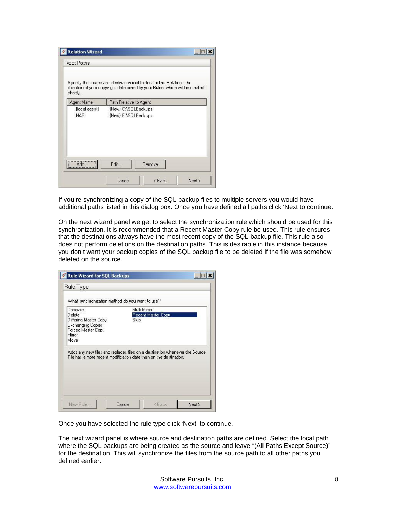| shortly.      | Specify the source and destination root folders for this Relation. The<br>direction of your copying is determined by your Rules, which will be created |
|---------------|--------------------------------------------------------------------------------------------------------------------------------------------------------|
| Agent Name    | Path Relative to Agent                                                                                                                                 |
| [local agent] | (New) C:\SQLBackups                                                                                                                                    |
| NAS1          | {New} E:\SQLBackups                                                                                                                                    |
|               | Edit                                                                                                                                                   |
| Add           | Remove                                                                                                                                                 |

If you're synchronizing a copy of the SQL backup files to multiple servers you would have additional paths listed in this dialog box. Once you have defined all paths click 'Next to continue.

On the next wizard panel we get to select the synchronization rule which should be used for this synchronization. It is recommended that a Recent Master Copy rule be used. This rule ensures that the destinations always have the most recent copy of the SQL backup file. This rule also does not perform deletions on the destination paths. This is desirable in this instance because you don't want your backup copies of the SQL backup file to be deleted if the file was somehow deleted on the source.

| Compare                                           | Multi-Mirror                                                                |  |
|---------------------------------------------------|-----------------------------------------------------------------------------|--|
| Delete                                            | Recent Master Copy                                                          |  |
| Differing Master Copy<br><b>Exchanging Copies</b> | <b>Skip</b>                                                                 |  |
| Forced Master Copy                                |                                                                             |  |
| Mirror                                            |                                                                             |  |
| Move.                                             |                                                                             |  |
|                                                   | Adds any new files and replaces files on a destination whenever the Source. |  |
|                                                   | File has a more recent modification date than on the destination.           |  |
|                                                   |                                                                             |  |
|                                                   |                                                                             |  |

Once you have selected the rule type click 'Next' to continue.

The next wizard panel is where source and destination paths are defined. Select the local path where the SQL backups are being created as the source and leave "(All Paths Except Source)" for the destination. This will synchronize the files from the source path to all other paths you defined earlier.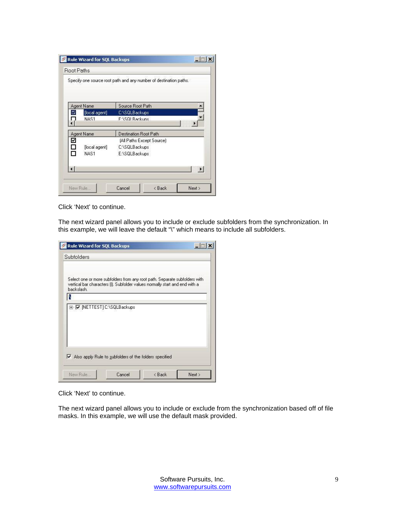|   |               | Specify one source root path and any number of destination paths. |
|---|---------------|-------------------------------------------------------------------|
|   | Agent Name    | Source Root Path                                                  |
| м | [local agent] | C:\SQLBackups                                                     |
|   | NAS1          | F:\SQLBackuns                                                     |
|   | Agent Name    | Destination Root Path                                             |
| ⊻ |               | [All Paths Except Source]                                         |
| S | [local agent] | C:\SQLBackups                                                     |
| П | NAS1          | E:\SQLBackups                                                     |
|   |               |                                                                   |

Click 'Next' to continue.

The next wizard panel allows you to include or exclude subfolders from the synchronization. In this example, we will leave the default "\" which means to include all subfolders.

| vertical bar characters (I). Subfolder values normally start and end with a | Select one or more subfolders from any root path. Separate subfolders with |  |
|-----------------------------------------------------------------------------|----------------------------------------------------------------------------|--|
| backslash.                                                                  |                                                                            |  |
| $\triangledown$ Also apply Rule to subfolders of the folders specified      |                                                                            |  |

Click 'Next' to continue.

The next wizard panel allows you to include or exclude from the synchronization based off of file masks. In this example, we will use the default mask provided.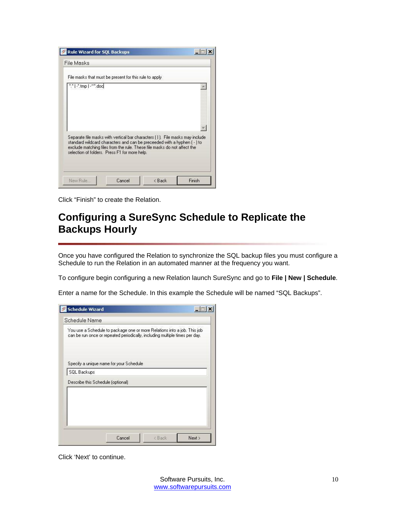<span id="page-10-0"></span>

Click "Finish" to create the Relation.

#### **Configuring a SureSync Schedule to Replicate the Backups Hourly**

Once you have configured the Relation to synchronize the SQL backup files you must configure a Schedule to run the Relation in an automated manner at the frequency you want.

To configure begin configuring a new Relation launch SureSync and go to **File | New | Schedule**.

Enter a name for the Schedule. In this example the Schedule will be named "SQL Backups".

| Specify a unique name for your Schedule<br>SQL Backups<br>Describe this Schedule (optional) | You use a Schedule to package one or more Relations into a job. This job<br>can be run once or repeated periodically, including multiple times per day. |  |
|---------------------------------------------------------------------------------------------|---------------------------------------------------------------------------------------------------------------------------------------------------------|--|
|                                                                                             |                                                                                                                                                         |  |
|                                                                                             |                                                                                                                                                         |  |
|                                                                                             |                                                                                                                                                         |  |

Click 'Next' to continue.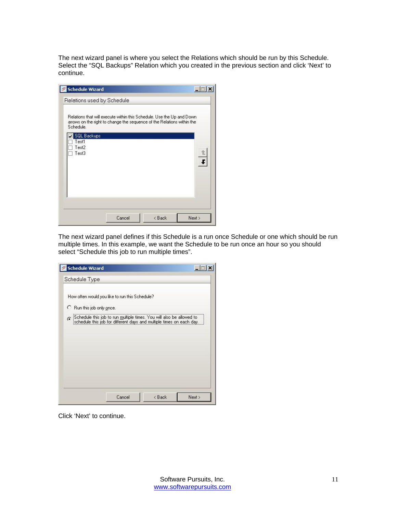The next wizard panel is where you select the Relations which should be run by this Schedule. Select the "SQL Backups" Relation which you created in the previous section and click 'Next' to continue.

| Schedule.                            | Relations that will execute within this Schedule. Use the Up and Down<br>arrows on the right to change the seguence of the Relations within the |  |
|--------------------------------------|-------------------------------------------------------------------------------------------------------------------------------------------------|--|
| <b>SQL Backups</b><br>Test1<br>Test2 |                                                                                                                                                 |  |
| Test3                                |                                                                                                                                                 |  |
|                                      |                                                                                                                                                 |  |
|                                      |                                                                                                                                                 |  |

The next wizard panel defines if this Schedule is a run once Schedule or one which should be run multiple times. In this example, we want the Schedule to be run once an hour so you should select "Schedule this job to run multiple times".

| How often would you like to run this Schedule? |                                                                                                                                                   |  |
|------------------------------------------------|---------------------------------------------------------------------------------------------------------------------------------------------------|--|
| C Run this job only once.                      |                                                                                                                                                   |  |
|                                                | $\odot$ Schedule this job to run multiple times. You will also be allowed to schedule this job for different days and multiple times on each day. |  |
|                                                |                                                                                                                                                   |  |
|                                                |                                                                                                                                                   |  |
|                                                |                                                                                                                                                   |  |
|                                                |                                                                                                                                                   |  |

Click 'Next' to continue.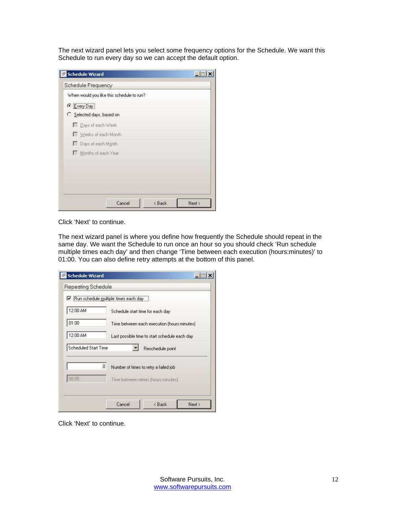The next wizard panel lets you select some frequency options for the Schedule. We want this Schedule to run every day so we can accept the default option.

| Days of each Week<br>Weeks of each Month<br>Days of each Month<br>Months of each Year | When would you like this schedule to run? |  |  |
|---------------------------------------------------------------------------------------|-------------------------------------------|--|--|
|                                                                                       | C Every Day                               |  |  |
|                                                                                       | C Selected days, based on                 |  |  |
|                                                                                       |                                           |  |  |
|                                                                                       |                                           |  |  |
|                                                                                       |                                           |  |  |
|                                                                                       |                                           |  |  |
|                                                                                       |                                           |  |  |
|                                                                                       |                                           |  |  |

Click 'Next' to continue.

The next wizard panel is where you define how frequently the Schedule should repeat in the same day. We want the Schedule to run once an hour so you should check 'Run schedule multiple times each day' and then change 'Time between each execution (hours:minutes)' to 01:00. You can also define retry attempts at the bottom of this panel.

|                      | Run schedule multiple times each day          |  |
|----------------------|-----------------------------------------------|--|
| 12:00 AM             | Schedule start time for each day              |  |
| 01:00                | Time between each execution (hours: minutes)  |  |
| 12:00 AM             | Last possible time to start schedule each day |  |
| Scheduled Start Time | Reschedule point                              |  |
|                      | 0<br>Number of times to retry a failed job    |  |
| 00:05                | Time between retries (hours: minutes).        |  |

Click 'Next' to continue.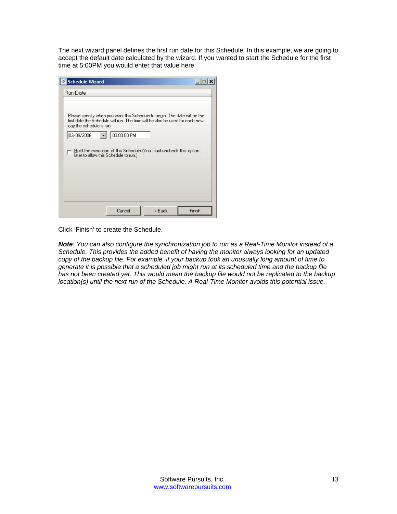The next wizard panel defines the first run date for this Schedule. In this example, we are going to accept the default date calculated by the wizard. If you wanted to start the Schedule for the first time at 5:00PM you would enter that value here.

| day the schedule is run. | Please specify when you want this Schedule to begin. The date will be the<br>first date the Schedule will run. The time will be also be used for each new |  |
|--------------------------|-----------------------------------------------------------------------------------------------------------------------------------------------------------|--|
| 03/09/2006               | 03:00:00 PM                                                                                                                                               |  |
|                          | Hold the execution of this Schedule (You must uncheck this option                                                                                         |  |
|                          | later to allow this Schedule to run.)                                                                                                                     |  |
|                          |                                                                                                                                                           |  |
|                          |                                                                                                                                                           |  |

Click 'Finish' to create the Schedule.

*Note: You can also configure the synchronization job to run as a Real-Time Monitor instead of a Schedule. This provides the added benefit of having the monitor always looking for an updated copy of the backup file. For example, if your backup took an unusually long amount of time to generate it is possible that a scheduled job might run at its scheduled time and the backup file has not been created yet. This would mean the backup file would not be replicated to the backup location(s) until the next run of the Schedule. A Real-Time Monitor avoids this potential issue.*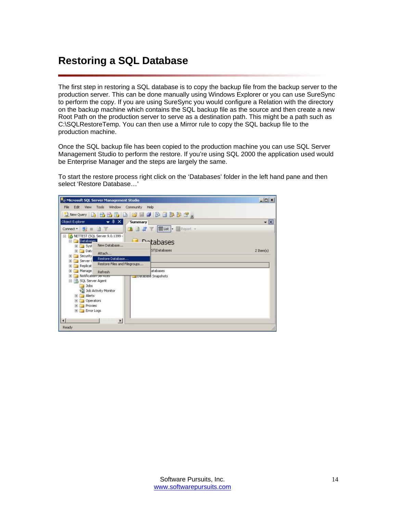## <span id="page-14-0"></span>**Restoring a SQL Database**

The first step in restoring a SQL database is to copy the backup file from the backup server to the production server. This can be done manually using Windows Explorer or you can use SureSync to perform the copy. If you are using SureSync you would configure a Relation with the directory on the backup machine which contains the SQL backup file as the source and then create a new Root Path on the production server to serve as a destination path. This might be a path such as C:\SQLRestoreTemp. You can then use a Mirror rule to copy the SQL backup file to the production machine.

Once the SQL backup file has been copied to the production machine you can use SQL Server Management Studio to perform the restore. If you're using SQL 2000 the application used would be Enterprise Manager and the steps are largely the same.

To start the restore process right click on the 'Databases' folder in the left hand pane and then select 'Restore Database…'

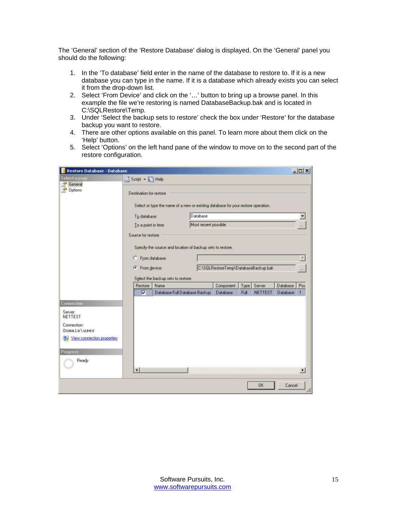The 'General' section of the 'Restore Database' dialog is displayed. On the 'General' panel you should do the following:

- 1. In the 'To database' field enter in the name of the database to restore to. If it is a new database you can type in the name. If it is a database which already exists you can select it from the drop-down list.
- 2. Select 'From Device' and click on the '…' button to bring up a browse panel. In this example the file we're restoring is named DatabaseBackup.bak and is located in C:\SQLRestore\Temp.
- 3. Under 'Select the backup sets to restore' check the box under 'Restore' for the database backup you want to restore.
- 4. There are other options available on this panel. To learn more about them click on the 'Help' button.
- 5. Select 'Options' on the left hand pane of the window to move on to the second part of the restore configuration.

| <b>Restore Database - Database</b> |                            |                                                                                   |                      |                                      |      |                |            | $ \Box$ $\times$           |
|------------------------------------|----------------------------|-----------------------------------------------------------------------------------|----------------------|--------------------------------------|------|----------------|------------|----------------------------|
| Select a page                      | Script - Help              |                                                                                   |                      |                                      |      |                |            |                            |
| General<br>Options                 | Destination for restore    | Select or type the name of a new or existing database for your restore operation. |                      |                                      |      |                |            |                            |
|                                    | To database:               | Database                                                                          |                      |                                      |      |                |            |                            |
|                                    | To a point in time:        |                                                                                   | Most recent possible |                                      |      |                |            |                            |
|                                    | Source for restore         | Specify the source and location of backup sets to restore.                        |                      |                                      |      |                |            |                            |
|                                    | C                          | From database:                                                                    |                      |                                      |      |                |            |                            |
|                                    | From device:<br>$\sqrt{6}$ |                                                                                   |                      | C:\SQLRestoreTemp\DatabaseBackup.bak |      |                |            | $\mathcal{V}(\mathcal{V})$ |
|                                    |                            | Select the backup sets to restore:                                                |                      |                                      |      |                |            |                            |
|                                    | Restore                    | Name                                                                              |                      | Component                            | Type | Server         | Database   | Pos                        |
|                                    | ⊽                          | Database-Full Database Backup                                                     |                      | Database                             | Full | <b>NETTEST</b> | Database 1 |                            |
| <b>Connection</b>                  |                            |                                                                                   |                      |                                      |      |                |            |                            |
| Server:<br>NETTEST                 |                            |                                                                                   |                      |                                      |      |                |            |                            |
| Connection:                        |                            |                                                                                   |                      |                                      |      |                |            |                            |
| Domain\user                        |                            |                                                                                   |                      |                                      |      |                |            |                            |
| View connection properties         |                            |                                                                                   |                      |                                      |      |                |            |                            |
| Progress                           |                            |                                                                                   |                      |                                      |      |                |            |                            |
| Ready                              |                            |                                                                                   |                      |                                      |      |                |            |                            |
|                                    | $\blacktriangleleft$       |                                                                                   |                      |                                      |      |                |            | $\blacktriangleright$      |
|                                    |                            |                                                                                   |                      |                                      |      | OK             | Cancel     | M                          |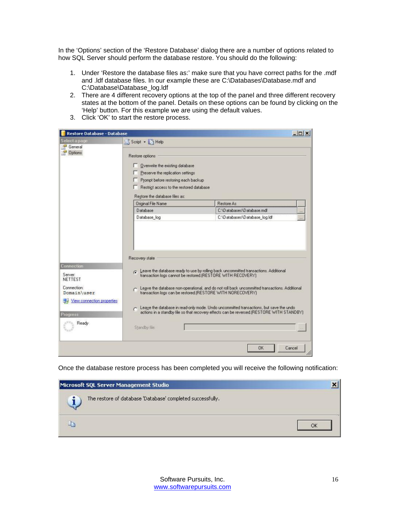In the 'Options' section of the 'Restore Database' dialog there are a number of options related to how SQL Server should perform the database restore. You should do the following:

- 1. Under 'Restore the database files as:' make sure that you have correct paths for the .mdf and .ldf database files. In our example these are C:\Databases\Database.mdf and C:\Database\Database\_log.ldf
- 2. There are 4 different recovery options at the top of the panel and three different recovery states at the bottom of the panel. Details on these options can be found by clicking on the 'Help' button. For this example we are using the default values.
- 3. Click 'OK' to start the restore process.

| Select a page                                                                      |                                          |                                                                                                                                                    | $ \Box$ $\times$ |
|------------------------------------------------------------------------------------|------------------------------------------|----------------------------------------------------------------------------------------------------------------------------------------------------|------------------|
|                                                                                    | Script - BHelp                           |                                                                                                                                                    |                  |
| General                                                                            |                                          |                                                                                                                                                    |                  |
| <b>Options</b>                                                                     | Restore options                          |                                                                                                                                                    |                  |
|                                                                                    | Overwrite the existing database          |                                                                                                                                                    |                  |
|                                                                                    | Preserve the replication settings        |                                                                                                                                                    |                  |
|                                                                                    | Prompt before restoring each backup      |                                                                                                                                                    |                  |
|                                                                                    | Restrict access to the restored database |                                                                                                                                                    |                  |
|                                                                                    | Restore the database files as:           |                                                                                                                                                    |                  |
|                                                                                    | Original File Name                       | <b>Restore As</b>                                                                                                                                  |                  |
|                                                                                    | Database                                 | C:\Databases\Database.mdf                                                                                                                          |                  |
|                                                                                    | Database log                             | C:\Databases\Database log.ldf                                                                                                                      |                  |
|                                                                                    |                                          |                                                                                                                                                    |                  |
|                                                                                    |                                          |                                                                                                                                                    |                  |
|                                                                                    | Recovery state                           |                                                                                                                                                    |                  |
|                                                                                    |                                          |                                                                                                                                                    |                  |
|                                                                                    |                                          | C Leave the database ready to use by rolling back uncommitted transactions. Additional transaction logs cannot be restored (RESTORE WITH RECOVERY) |                  |
|                                                                                    |                                          | Leave the database non-operational, and do not roll back uncommitted transactions. Additional                                                      |                  |
|                                                                                    |                                          | transaction logs can be restored.[RESTORE WITH NORECOVERY]                                                                                         |                  |
| View connection properties                                                         |                                          |                                                                                                                                                    |                  |
|                                                                                    |                                          | Leave the database in read-only mode. Undo uncommitted transactions, but save the undo                                                             |                  |
|                                                                                    |                                          | actions in a standby file so that recovery effects can be reversed.(RESTORE WITH STANDBY)                                                          |                  |
| Connection<br>Server<br>NETTEST<br>Connection:<br>Domain\user<br>Progress<br>Ready |                                          |                                                                                                                                                    |                  |
|                                                                                    | Standby file:                            |                                                                                                                                                    |                  |
|                                                                                    |                                          |                                                                                                                                                    |                  |
|                                                                                    |                                          | Cancel<br>0K                                                                                                                                       |                  |

Once the database restore process has been completed you will receive the following notification:

| Microsoft SQL Server Management Studio                     |  |
|------------------------------------------------------------|--|
| The restore of database 'Database' completed successfully. |  |
|                                                            |  |